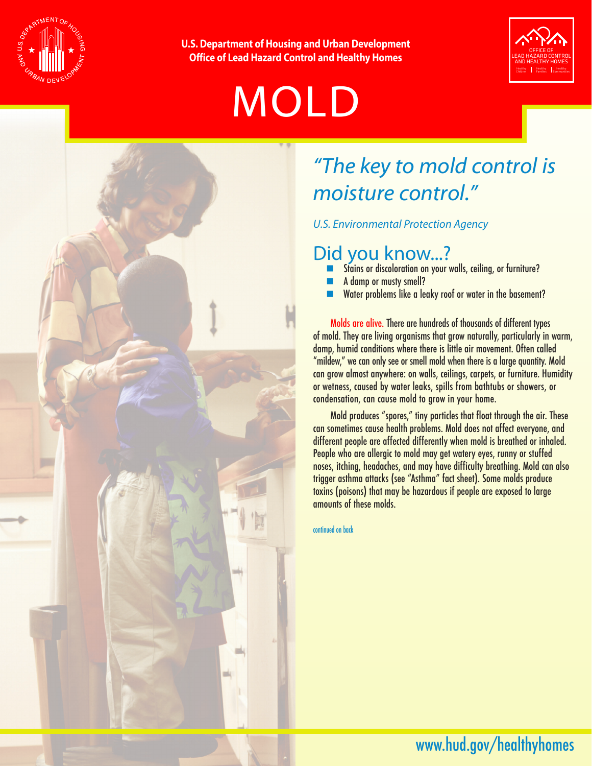

**U.S. Department of Housing and Urban Development Office of Lead Hazard Control and Healthy Homes**

# MOLD





### *"The key to mold control is moisture control."*

*U.S. Environmental Protection Agency* 

### Did you know...?

- Stains or discoloration on your walls, ceiling, or furniture?
- A damp or musty smell?
- $\blacksquare$  Water problems like a leaky roof or water in the basement?

Molds are alive. There are hundreds of thousands of different types of mold. They are living organisms that grow naturally, particularly in warm, damp, humid conditions where there is little air movement. Often called "mildew," we can only see or smell mold when there is a large quantity. Mold can grow almost anywhere: on walls, ceilings, carpets, or furniture. Humidity or wetness, caused by water leaks, spills from bathtubs or showers, or condensation, can cause mold to grow in your home.

Mold produces "spores," tiny particles that float through the air. These can sometimes cause health problems. Mold does not affect everyone, and different people are affected differently when mold is breathed or inhaled. People who are allergic to mold may get watery eyes, runny or stuffed noses, itching, headaches, and may have difficulty breathing. Mold can also trigger asthma attacks (see "Asthma" fact sheet). Some molds produce toxins (poisons) that may be hazardous if people are exposed to large amounts of these molds.

continued on back

### www.hud.gov/healthyhomes www.hud.gov/healthyhomes